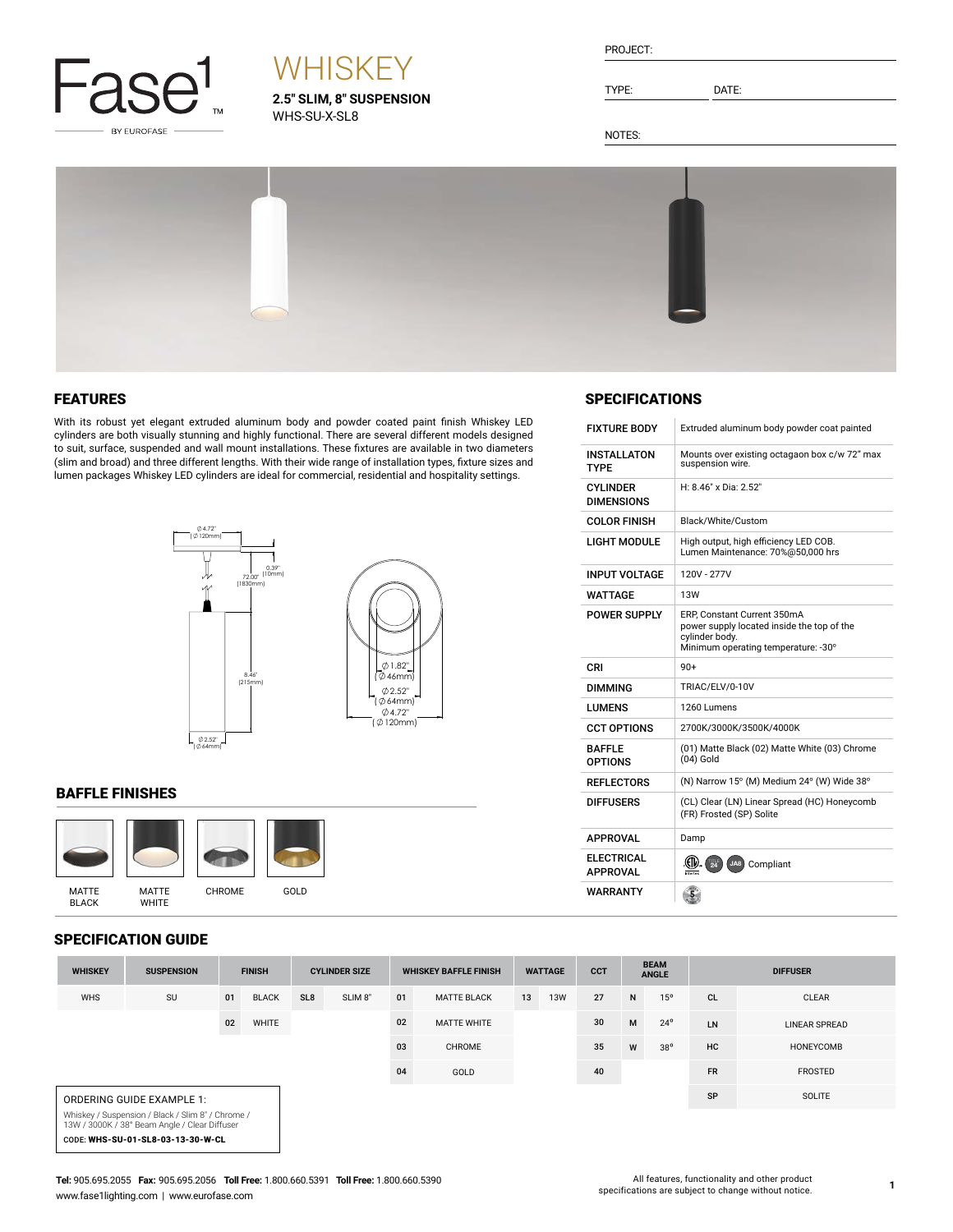

# **WHISKEY**

**2.5" SLIM, 8" SUSPENSION** WHS-SU-X-SL8

| PROJECT: |  |
|----------|--|
|          |  |

TYPE: DATE:

NOTES:



#### FEATURES

With its robust yet elegant extruded aluminum body and powder coated paint finish Whiskey LED cylinders are both visually stunning and highly functional. There are several different models designed to suit, surface, suspended and wall mount installations. These fixtures are available in two diameters (slim and broad) and three different lengths. With their wide range of installation types, fixture sizes and lumen packages Whiskey LED cylinders are ideal for commercial, residential and hospitality settings.



#### BAFFLE FINISHES



#### SPECIFICATION GUIDE

| 91 EVII IVAI IVII 99IPE                                                                            |                   |               |              |                      |                     |                              |                    |                |            |            |                             |              |                 |                      |
|----------------------------------------------------------------------------------------------------|-------------------|---------------|--------------|----------------------|---------------------|------------------------------|--------------------|----------------|------------|------------|-----------------------------|--------------|-----------------|----------------------|
| <b>WHISKEY</b>                                                                                     | <b>SUSPENSION</b> | <b>FINISH</b> |              | <b>CYLINDER SIZE</b> |                     | <b>WHISKEY BAFFLE FINISH</b> |                    | <b>WATTAGE</b> |            | <b>CCT</b> | <b>BEAM</b><br><b>ANGLE</b> |              | <b>DIFFUSER</b> |                      |
| <b>WHS</b>                                                                                         | SU                | 01            | <b>BLACK</b> | SL <sub>8</sub>      | SLIM <sub>8</sub> " | 01                           | <b>MATTE BLACK</b> | 13             | <b>13W</b> | 27         | N                           | 15°          | <b>CL</b>       | <b>CLEAR</b>         |
|                                                                                                    |                   | 02            | WHITE        |                      |                     | 02                           | <b>MATTE WHITE</b> |                |            | 30         | M                           | $24^{\circ}$ | LN              | <b>LINEAR SPREAD</b> |
|                                                                                                    |                   |               |              |                      |                     | 03                           | CHROME             |                |            | 35         | W                           | $38^{\circ}$ | HC              | HONEYCOMB            |
|                                                                                                    |                   |               |              |                      |                     | 04                           | GOLD               |                |            | 40         |                             |              | <b>FR</b>       | FROSTED              |
| ORDERING GUIDE EXAMPLE 1:                                                                          |                   |               |              |                      |                     |                              |                    |                |            |            | SP                          | SOLITE       |                 |                      |
| Whiskey / Suspension / Black / Slim 8" / Chrome /<br>13W / 3000K / 38° Beam Angle / Clear Diffuser |                   |               |              |                      |                     |                              |                    |                |            |            |                             |              |                 |                      |
| CODE: WHS-SU-01-SL8-03-13-30-W-CL                                                                  |                   |               |              |                      |                     |                              |                    |                |            |            |                             |              |                 |                      |

## **SPECIFICATIONS**

| <b>FIXTURE BODY</b>                  | Extruded aluminum body powder coat painted                                                                                         |
|--------------------------------------|------------------------------------------------------------------------------------------------------------------------------------|
| INSTALLATON<br>TYPF                  | Mounts over existing octagaon box c/w 72" max<br>suspension wire.                                                                  |
| <b>CYLINDER</b><br><b>DIMENSIONS</b> | H: 8.46" x Dia: 2.52"                                                                                                              |
| <b>COLOR FINISH</b>                  | Black/White/Custom                                                                                                                 |
| LIGHT MODULE                         | High output, high efficiency LED COB.<br>Lumen Maintenance: 70%@50,000 hrs                                                         |
| <b>INPUT VOLTAGE</b>                 | 120V - 277V                                                                                                                        |
| WATTAGE                              | <b>13W</b>                                                                                                                         |
| <b>POWER SUPPLY</b>                  | ERP, Constant Current 350mA<br>power supply located inside the top of the<br>cylinder body.<br>Minimum operating temperature: -30° |
| CRI                                  | $90+$                                                                                                                              |
| <b>DIMMING</b>                       | TRIAC/ELV/0-10V                                                                                                                    |
| LUMENS                               | 1260 Lumens                                                                                                                        |
| <b>CCT OPTIONS</b>                   | 2700K/3000K/3500K/4000K                                                                                                            |
| <b>BAFFIF</b><br><b>OPTIONS</b>      | (01) Matte Black (02) Matte White (03) Chrome<br>$(04)$ Gold                                                                       |
| <b>REFLECTORS</b>                    | (N) Narrow 15° (M) Medium 24° (W) Wide 38°                                                                                         |
| <b>DIFFUSERS</b>                     | (CL) Clear (LN) Linear Spread (HC) Honeycomb<br>(FR) Frosted (SP) Solite                                                           |
| <b>APPROVAL</b>                      | Damp                                                                                                                               |
| <b>ELECTRICAL</b><br><b>APPROVAL</b> | (U).<br>$\frac{1}{24}$<br>JA8) Compliant                                                                                           |
| WARRANTY                             | $\overline{5}$                                                                                                                     |